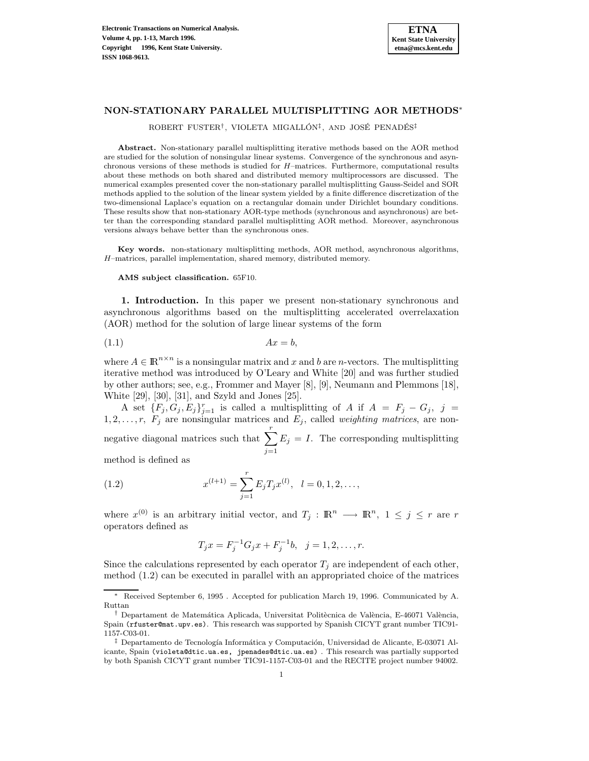

## **NON-STATIONARY PARALLEL MULTISPLITTING AOR METHODS**<sup>∗</sup>

ROBERT FUSTER<sup>†</sup>, VIOLETA MIGALLÓN<sup>‡</sup>, AND JOSÉ PENADÉS<sup>‡</sup>

**Abstract.** Non-stationary parallel multisplitting iterative methods based on the AOR method are studied for the solution of nonsingular linear systems. Convergence of the synchronous and asynchronous versions of these methods is studied for H–matrices. Furthermore, computational results about these methods on both shared and distributed memory multiprocessors are discussed. The numerical examples presented cover the non-stationary parallel multisplitting Gauss-Seidel and SOR methods applied to the solution of the linear system yielded by a finite difference discretization of the two-dimensional Laplace's equation on a rectangular domain under Dirichlet boundary conditions. These results show that non-stationary AOR-type methods (synchronous and asynchronous) are better than the corresponding standard parallel multisplitting AOR method. Moreover, asynchronous versions always behave better than the synchronous ones.

**Key words.** non-stationary multisplitting methods, AOR method, asynchronous algorithms, H–matrices, parallel implementation, shared memory, distributed memory.

**AMS subject classification.** 65F10.

**1. Introduction.** In this paper we present non-stationary synchronous and asynchronous algorithms based on the multisplitting accelerated overrelaxation (AOR) method for the solution of large linear systems of the form

$$
(1.1) \t\t Ax = b,
$$

where  $A \in \mathbb{R}^{n \times n}$  is a nonsingular matrix and x and b are n-vectors. The multisplitting iterative method was introduced by O'Leary and White [20] and was further studied by other authors; see, e.g., Frommer and Mayer [8], [9], Neumann and Plemmons [18], White [29], [30], [31], and Szyld and Jones [25].

A set  ${F_j, G_j, E_j}_{j=1}^r$  is called a multisplitting of A if  $A = F_j - G_j$ ,  $j =$  $1, 2, \ldots, r$ ,  $F_j$  are nonsingular matrices and  $E_j$ , called weighting matrices, are nonnegative diagonal matrices such that  $\sum_{r=1}^{r}$  $j=1$  $E_j = I$ . The corresponding multisplitting

method is defined as

(1.2) 
$$
x^{(l+1)} = \sum_{j=1}^{r} E_j T_j x^{(l)}, \quad l = 0, 1, 2, \dots,
$$

where  $x^{(0)}$  is an arbitrary initial vector, and  $T_j : \mathbb{R}^n \longrightarrow \mathbb{R}^n$ ,  $1 \leq j \leq r$  are r operators defined as

$$
T_j x = F_j^{-1} G_j x + F_j^{-1} b, \ \ j = 1, 2, \dots, r.
$$

Since the calculations represented by each operator  $T_j$  are independent of each other, method (1.2) can be executed in parallel with an appropriated choice of the matrices

<sup>∗</sup> Received September 6, 1995 . Accepted for publication March 19, 1996. Communicated by A. Ruttan

<sup>&</sup>lt;sup>†</sup> Departament de Matemática Aplicada, Universitat Politècnica de València, E-46071 València, Spain (rfuster@mat.upv.es). This research was supported by Spanish CICYT grant number TIC91- 1157-C03-01.

 $\ddagger$  Departamento de Tecnología Informática y Computación, Universidad de Alicante, E-03071 Alicante, Spain (violeta@dtic.ua.es, jpenades@dtic.ua.es) . This research was partially supported by both Spanish CICYT grant number TIC91-1157-C03-01 and the RECITE project number 94002.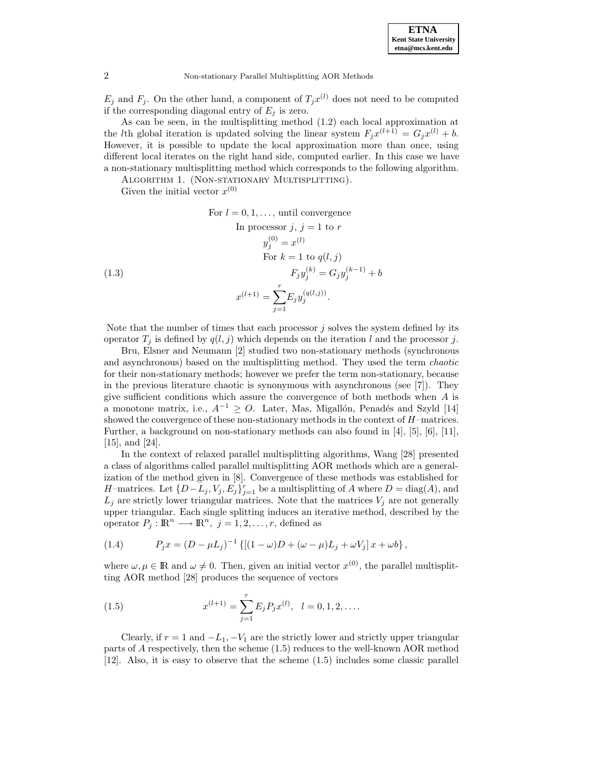**ETNA Kent State University etna@mcs.kent.edu**

2 Non-stationary Parallel Multisplitting AOR Methods

 $E_j$  and  $F_j$ . On the other hand, a component of  $T_jx^{(l)}$  does not need to be computed if the corresponding diagonal entry of  $E_j$  is zero.

As can be seen, in the multisplitting method (1.2) each local approximation at the *l*th global iteration is updated solving the linear system  $F_i x^{(l+1)} = G_i x^{(l)} + b$ . However, it is possible to update the local approximation more than once, using different local iterates on the right hand side, computed earlier. In this case we have a non-stationary multisplitting method which corresponds to the following algorithm.

ALGORITHM 1. (NON-STATIONARY MULTISPLITTING).

Given the initial vector  $x^{(0)}$ 

For  $l = 0, 1, \ldots$ , until convergence

(1.3)  
\nIn processor 
$$
j, j = 1
$$
 to  $r$   
\n $y_j^{(0)} = x^{(l)}$   
\nFor  $k = 1$  to  $q(l, j)$   
\n $F_j y_j^{(k)} = G_j y_j^{(k-1)} + b$   
\n $x^{(l+1)} = \sum_{j=1}^r E_j y_j^{(q(l,j))}$ .

Note that the number of times that each processor  $j$  solves the system defined by its operator  $T_i$  is defined by  $q(l, j)$  which depends on the iteration l and the processor j.

Bru, Elsner and Neumann [2] studied two non-stationary methods (synchronous and asynchronous) based on the multisplitting method. They used the term chaotic for their non-stationary methods; however we prefer the term non-stationary, because in the previous literature chaotic is synonymous with asynchronous (see [7]). They give sufficient conditions which assure the convergence of both methods when A is a monotone matrix, i.e.,  $A^{-1} \geq O$ . Later, Mas, Migallón, Penadés and Szyld [14] showed the convergence of these non-stationary methods in the context of H–matrices. Further, a background on non-stationary methods can also found in [4], [5], [6], [11], [15], and [24].

In the context of relaxed parallel multisplitting algorithms, Wang [28] presented a class of algorithms called parallel multisplitting AOR methods which are a generalization of the method given in [8]. Convergence of these methods was established for H–matrices. Let  $\{D-L_j, V_j, E_j\}_{j=1}^r$  be a multisplitting of A where  $D = \text{diag}(A)$ , and  $L_j$  are strictly lower triangular matrices. Note that the matrices  $V_j$  are not generally upper triangular. Each single splitting induces an iterative method, described by the operator  $P_j : \mathbb{R}^n \longrightarrow \mathbb{R}^n$ ,  $j = 1, 2, ..., r$ , defined as

(1.4) 
$$
P_j x = (D - \mu L_j)^{-1} \{ [(1 - \omega)D + (\omega - \mu)L_j + \omega V_j] x + \omega b \},
$$

where  $\omega, \mu \in \mathbb{R}$  and  $\omega \neq 0$ . Then, given an initial vector  $x^{(0)}$ , the parallel multisplitting AOR method [28] produces the sequence of vectors

(1.5) 
$$
x^{(l+1)} = \sum_{j=1}^{r} E_j P_j x^{(l)}, \quad l = 0, 1, 2, \dots
$$

Clearly, if  $r = 1$  and  $-L_1, -V_1$  are the strictly lower and strictly upper triangular parts of A respectively, then the scheme (1.5) reduces to the well-known AOR method [12]. Also, it is easy to observe that the scheme (1.5) includes some classic parallel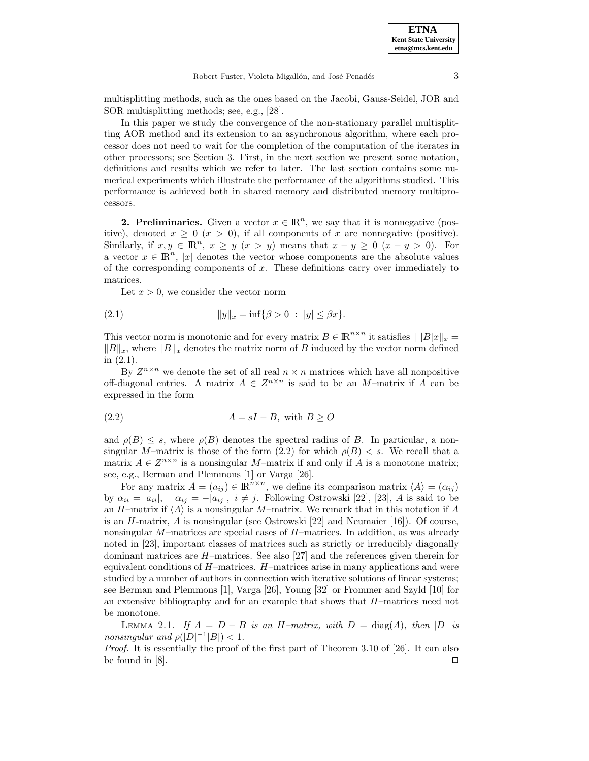multisplitting methods, such as the ones based on the Jacobi, Gauss-Seidel, JOR and SOR multisplitting methods; see, e.g., [28].

In this paper we study the convergence of the non-stationary parallel multisplitting AOR method and its extension to an asynchronous algorithm, where each processor does not need to wait for the completion of the computation of the iterates in other processors; see Section 3. First, in the next section we present some notation, definitions and results which we refer to later. The last section contains some numerical experiments which illustrate the performance of the algorithms studied. This performance is achieved both in shared memory and distributed memory multiprocessors.

**2. Preliminaries.** Given a vector  $x \in \mathbb{R}^n$ , we say that it is nonnegative (positive), denoted  $x \geq 0$   $(x > 0)$ , if all components of x are nonnegative (positive). Similarly, if  $x, y \in \mathbb{R}^n$ ,  $x \geq y$   $(x > y)$  means that  $x - y \geq 0$   $(x - y > 0)$ . For a vector  $x \in \mathbb{R}^n$ , |x| denotes the vector whose components are the absolute values of the corresponding components of  $x$ . These definitions carry over immediately to matrices.

Let  $x > 0$ , we consider the vector norm

(2.1) 
$$
||y||_x = \inf \{ \beta > 0 : |y| \le \beta x \}.
$$

This vector norm is monotonic and for every matrix  $B \in \mathbb{R}^{n \times n}$  it satisfies  $||B||x||_x =$  $||B||_x$ , where  $||B||_x$  denotes the matrix norm of B induced by the vector norm defined in (2.1).

By  $Z^{n \times n}$  we denote the set of all real  $n \times n$  matrices which have all nonpositive off-diagonal entries. A matrix  $A \in \mathbb{Z}^{n \times n}$  is said to be an M-matrix if A can be expressed in the form

$$
(2.2) \t\t\t A = sI - B, \text{ with } B \ge 0
$$

and  $\rho(B) \leq s$ , where  $\rho(B)$  denotes the spectral radius of B. In particular, a nonsingular M–matrix is those of the form (2.2) for which  $\rho(B) < s$ . We recall that a matrix  $A \in \mathbb{Z}^{n \times n}$  is a nonsingular M-matrix if and only if A is a monotone matrix; see, e.g., Berman and Plemmons [1] or Varga [26].

For any matrix  $A = (a_{ij}) \in \mathbb{R}^{n \times n}$ , we define its comparison matrix  $\langle A \rangle = (\alpha_{ij})$ by  $\alpha_{ii} = |a_{ii}|$ ,  $\alpha_{ij} = -|a_{ij}|$ ,  $i \neq j$ . Following Ostrowski [22], [23], A is said to be an H–matrix if  $\langle A \rangle$  is a nonsingular M–matrix. We remark that in this notation if A is an  $H$ -matrix,  $A$  is nonsingular (see Ostrowski [22] and Neumaier [16]). Of course, nonsingular  $M$ –matrices are special cases of  $H$ –matrices. In addition, as was already noted in [23], important classes of matrices such as strictly or irreducibly diagonally dominant matrices are H–matrices. See also [27] and the references given therein for equivalent conditions of  $H$ –matrices.  $H$ –matrices arise in many applications and were studied by a number of authors in connection with iterative solutions of linear systems; see Berman and Plemmons [1], Varga [26], Young [32] or Frommer and Szyld [10] for an extensive bibliography and for an example that shows that  $H$ –matrices need not be monotone.

LEMMA 2.1. If  $A = D - B$  is an H-matrix, with  $D = \text{diag}(A)$ , then |D| is nonsingular and  $\rho(|D|^{-1}|B|) < 1$ .

Proof. It is essentially the proof of the first part of Theorem 3.10 of [26]. It can also be found in  $[8]$ .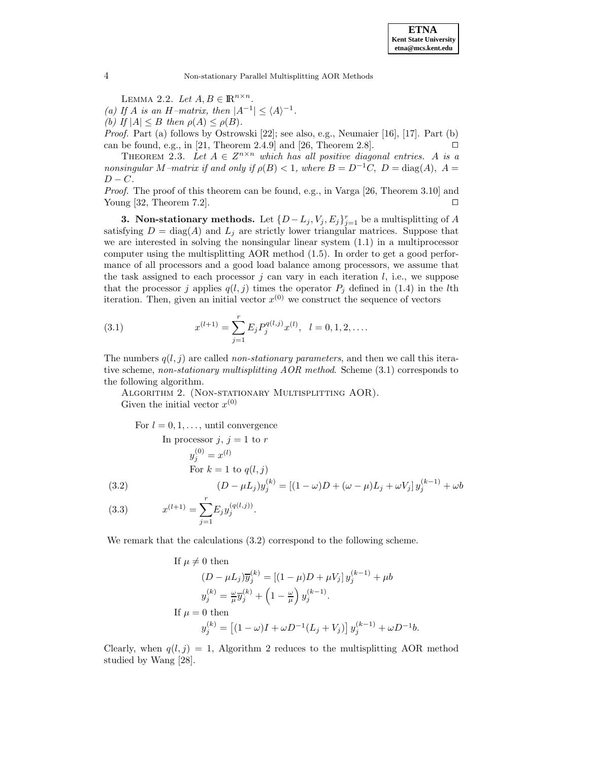LEMMA 2.2. Let  $A, B \in \mathbb{R}^{n \times n}$ .

(a) If A is an H–matrix, then  $|A^{-1}| \leq \langle A \rangle^{-1}$ .

(b) If  $|A| \leq B$  then  $\rho(A) \leq \rho(B)$ .

Proof. Part (a) follows by Ostrowski [22]; see also, e.g., Neumaier [16], [17]. Part (b) can be found, e.g., in [21, Theorem 2.4.9] and [26, Theorem 2.8].

THEOREM 2.3. Let  $A \in \mathbb{Z}^{n \times n}$  which has all positive diagonal entries. A is a nonsingular M–matrix if and only if  $\rho(B) < 1$ , where  $B = D^{-1}C$ ,  $D = \text{diag}(A)$ ,  $A =$  $D - C$ .

Proof. The proof of this theorem can be found, e.g., in Varga [26, Theorem 3.10] and Young [32, Theorem 7.2].  $\Box$ 

**3. Non-stationary methods.** Let  $\{D - L_j, V_j, E_j\}_{j=1}^r$  be a multisplitting of A satisfying  $D = \text{diag}(A)$  and  $L_j$  are strictly lower triangular matrices. Suppose that we are interested in solving the nonsingular linear system (1.1) in a multiprocessor computer using the multisplitting AOR method (1.5). In order to get a good performance of all processors and a good load balance among processors, we assume that the task assigned to each processor  $j$  can vary in each iteration  $l$ , i.e., we suppose that the processor j applies  $q(l,j)$  times the operator  $P_j$  defined in (1.4) in the lth iteration. Then, given an initial vector  $x^{(0)}$  we construct the sequence of vectors

(3.1) 
$$
x^{(l+1)} = \sum_{j=1}^{r} E_j P_j^{q(l,j)} x^{(l)}, \quad l = 0, 1, 2, \dots
$$

The numbers  $q(l, j)$  are called non-stationary parameters, and then we call this iterative scheme, non-stationary multisplitting AOR method. Scheme (3.1) corresponds to the following algorithm.

Algorithm 2. (Non-stationary Multisplitting AOR). Given the initial vector  $x^{(0)}$ 

For  $l = 0, 1, \ldots$ , until convergence

In processor 
$$
j, j = 1
$$
 to  $r$ 

\n
$$
y_j^{(0)} = x^{(l)}
$$
\nFor  $k = 1$  to  $q(l, j)$ 

\n
$$
(3.2) \qquad (D - \mu L_j) y_j^{(k)} = [(1 - \omega)D + (\omega - \mu)L_j + \omega V_j] y_j^{(k-1)} + \omega b
$$

(3.3) 
$$
x^{(l+1)} = \sum_{j=1}^{r} E_j y_j^{(q(l,j))}.
$$

We remark that the calculations (3.2) correspond to the following scheme.

If 
$$
\mu \neq 0
$$
 then  
\n
$$
(D - \mu L_j)\overline{y}_j^{(k)} = [(1 - \mu)D + \mu V_j] y_j^{(k-1)} + \mu b
$$
\n
$$
y_j^{(k)} = \frac{\omega}{\mu} \overline{y}_j^{(k)} + (1 - \frac{\omega}{\mu}) y_j^{(k-1)}.
$$
\nIf  $\mu = 0$  then  
\n
$$
y_j^{(k)} = [(1 - \omega)I + \omega D^{-1}(L_j + V_j)] y_j^{(k-1)} + \omega D^{-1}b.
$$

Clearly, when  $q(l,j) = 1$ , Algorithm 2 reduces to the multisplitting AOR method studied by Wang [28].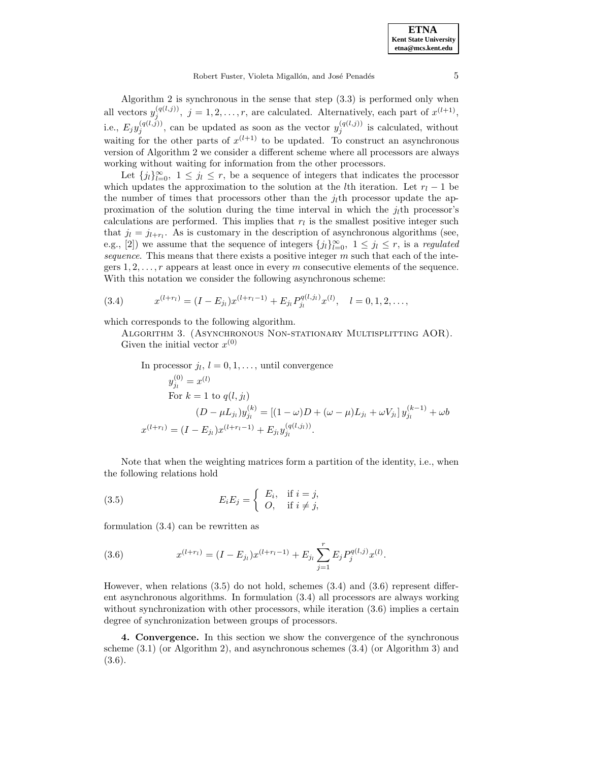Robert Fuster, Violeta Migallón, and José Penadés 5

Algorithm 2 is synchronous in the sense that step (3.3) is performed only when all vectors  $y_j^{(q(l,j))}$ ,  $j = 1, 2, ..., r$ , are calculated. Alternatively, each part of  $x^{(l+1)}$ , i.e.,  $E_j y_j^{(q(l,j))}$ , can be updated as soon as the vector  $y_j^{(q(l,j))}$  is calculated, without waiting for the other parts of  $x^{(l+1)}$  to be updated. To construct an asynchronous version of Algorithm 2 we consider a different scheme where all processors are always working without waiting for information from the other processors.

Let  ${j_l}_{l=0}^{\infty}$ ,  $1 \leq j_l \leq r$ , be a sequence of integers that indicates the processor which updates the approximation to the solution at the *l*th iteration. Let  $r_l - 1$  be the number of times that processors other than the  $i<sub>l</sub>$ <sup>th</sup> processor update the approximation of the solution during the time interval in which the  $j<sub>l</sub>$ th processor's calculations are performed. This implies that  $r_l$  is the smallest positive integer such that  $j_l = j_{l+r_l}$ . As is customary in the description of asynchronous algorithms (see, e.g., [2]) we assume that the sequence of integers  $\{j_l\}_{l=0}^{\infty}$ ,  $1 \leq j_l \leq r$ , is a *regulated* sequence. This means that there exists a positive integer  $m$  such that each of the integers  $1, 2, \ldots, r$  appears at least once in every m consecutive elements of the sequence. With this notation we consider the following asynchronous scheme:

(3.4) 
$$
x^{(l+r_l)} = (I - E_{j_l})x^{(l+r_l-1)} + E_{j_l}P_{j_l}^{q(l,j_l)}x^{(l)}, \quad l = 0, 1, 2, \ldots,
$$

which corresponds to the following algorithm.

Algorithm 3. (Asynchronous Non-stationary Multisplitting AOR). Given the initial vector  $x^{(0)}$ 

In processor 
$$
j_l
$$
,  $l = 0, 1, ...$ , until convergence  
\n
$$
y_{j_l}^{(0)} = x^{(l)}
$$
\nFor  $k = 1$  to  $q(l, j_l)$   
\n
$$
(D - \mu L_{j_l}) y_{j_l}^{(k)} = [(1 - \omega)D + (\omega - \mu)L_{j_l} + \omega V_{j_l}] y_{j_l}^{(k-1)} + \omega b
$$
\n
$$
x^{(l+r_l)} = (I - E_{j_l}) x^{(l+r_l-1)} + E_{j_l} y_{j_l}^{(q(l,j_l))}.
$$

Note that when the weighting matrices form a partition of the identity, i.e., when the following relations hold

(3.5) 
$$
E_i E_j = \begin{cases} E_i, & \text{if } i = j, \\ O, & \text{if } i \neq j, \end{cases}
$$

formulation (3.4) can be rewritten as

(3.6) 
$$
x^{(l+r_l)} = (I - E_{j_l})x^{(l+r_l-1)} + E_{j_l} \sum_{j=1}^r E_j P_j^{q(l,j)} x^{(l)}.
$$

However, when relations (3.5) do not hold, schemes (3.4) and (3.6) represent different asynchronous algorithms. In formulation (3.4) all processors are always working without synchronization with other processors, while iteration  $(3.6)$  implies a certain degree of synchronization between groups of processors.

**4. Convergence.** In this section we show the convergence of the synchronous scheme (3.1) (or Algorithm 2), and asynchronous schemes (3.4) (or Algorithm 3) and (3.6).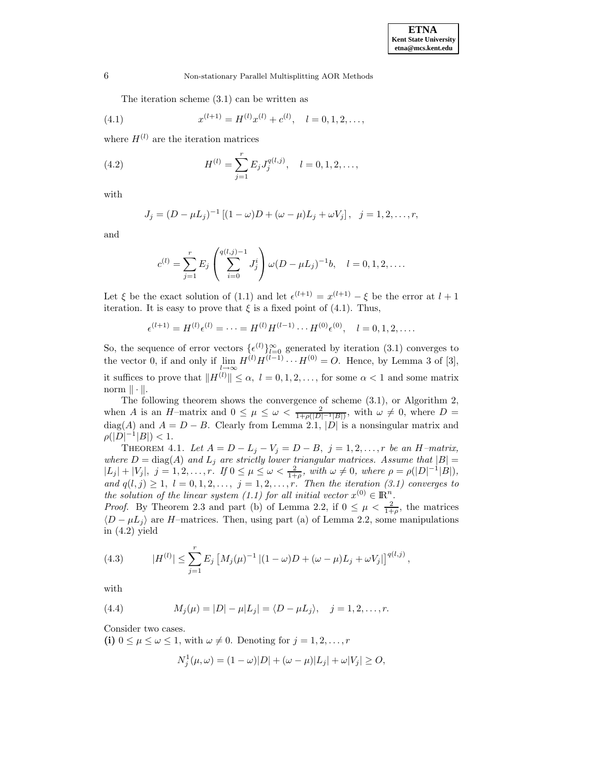The iteration scheme (3.1) can be written as

(4.1) 
$$
x^{(l+1)} = H^{(l)}x^{(l)} + c^{(l)}, \quad l = 0, 1, 2, \dots,
$$

where  $H^{(l)}$  are the iteration matrices

(4.2) 
$$
H^{(l)} = \sum_{j=1}^{r} E_j J_j^{q(l,j)}, \quad l = 0, 1, 2, \dots,
$$

with

$$
J_j = (D - \mu L_j)^{-1} [(1 - \omega)D + (\omega - \mu)L_j + \omega V_j], \ \ j = 1, 2, \dots, r,
$$

and

$$
c^{(l)} = \sum_{j=1}^{r} E_j \left( \sum_{i=0}^{q(l,j)-1} J_j^i \right) \omega (D - \mu L_j)^{-1} b, \quad l = 0, 1, 2, \dots
$$

Let  $\xi$  be the exact solution of (1.1) and let  $\epsilon^{(l+1)} = x^{(l+1)} - \xi$  be the error at  $l + 1$ iteration. It is easy to prove that  $\xi$  is a fixed point of (4.1). Thus,

$$
\epsilon^{(l+1)} = H^{(l)} \epsilon^{(l)} = \dots = H^{(l)} H^{(l-1)} \cdots H^{(0)} \epsilon^{(0)}, \quad l = 0, 1, 2, \dots
$$

So, the sequence of error vectors  $\{\epsilon^{(l)}\}_{l=0}^{\infty}$  generated by iteration (3.1) converges to the vector 0, if and only if  $\lim_{l\to\infty} H^{(l)}H^{(l-1)}\cdots H^{(0)} = O$ . Hence, by Lemma 3 of [3], it suffices to prove that  $||H^{(l)}|| \leq \alpha$ ,  $l = 0, 1, 2, \ldots$ , for some  $\alpha < 1$  and some matrix norm  $\|\cdot\|.$ 

The following theorem shows the convergence of scheme (3.1), or Algorithm 2, when A is an H–matrix and  $0 \leq \mu \leq \omega < \frac{2}{1+\rho(|D|-1|B|)}$ , with  $\omega \neq 0$ , where  $D =$ diag(A) and  $A = D - B$ . Clearly from Lemma 2.1, |D| is a nonsingular matrix and  $\rho(|D|^{-1}|B|) < 1.$ 

THEOREM 4.1. Let  $A = D - L_j - V_j = D - B$ ,  $j = 1, 2, ..., r$  be an H-matrix, where  $D = \text{diag}(A)$  and  $L_j$  are strictly lower triangular matrices. Assume that  $|B| =$  $|L_j| + |V_j|, \ j = 1, 2, \ldots, r. \ \text{If } 0 \leq \mu \leq \omega < \frac{2}{1+\rho}, \text{ with } \omega \neq 0, \text{ where } \rho = \rho(|D|^{-1}|B|),$ and  $q(l, j) \geq 1$ ,  $l = 0, 1, 2, \ldots, j = 1, 2, \ldots, r$ . Then the iteration (3.1) converges to the solution of the linear system (1.1) for all initial vector  $x^{(0)} \in \mathbb{R}^n$ .

*Proof.* By Theorem 2.3 and part (b) of Lemma 2.2, if  $0 \leq \mu < \frac{2}{1+\rho}$ , the matrices  $\langle D - \mu L_i \rangle$  are H–matrices. Then, using part (a) of Lemma 2.2, some manipulations in  $(4.2)$  yield

(4.3) 
$$
|H^{(l)}| \leq \sum_{j=1}^r E_j \left[ M_j(\mu)^{-1} \left| (1-\omega)D + (\omega - \mu)L_j + \omega V_j \right| \right]^{q(l,j)},
$$

with

(4.4) 
$$
M_j(\mu) = |D| - \mu |L_j| = \langle D - \mu L_j \rangle, \quad j = 1, 2, ..., r.
$$

Consider two cases.

**(i)**  $0 \leq \mu \leq \omega \leq 1$ , with  $\omega \neq 0$ . Denoting for  $j = 1, 2, \ldots, r$ 

$$
N_j^1(\mu,\omega) = (1-\omega)|D| + (\omega - \mu)|L_j| + \omega|V_j| \geq O,
$$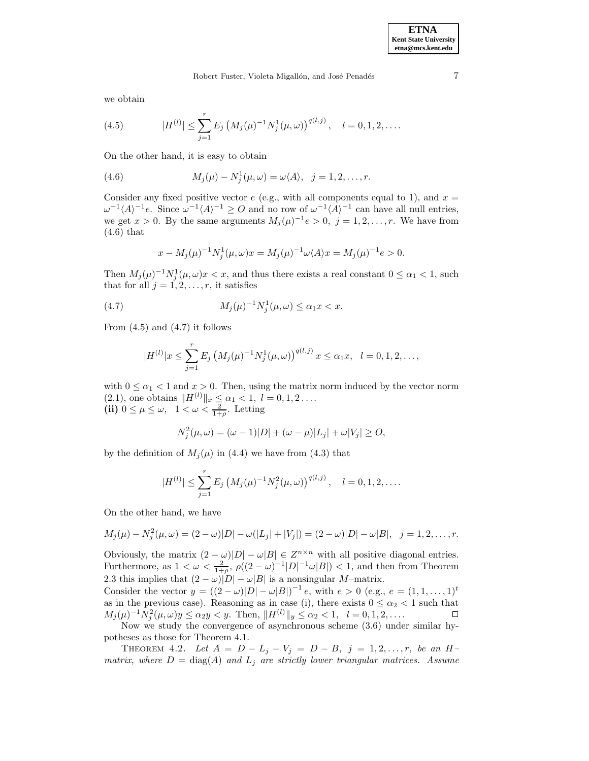we obtain

(4.5) 
$$
|H^{(l)}| \leq \sum_{j=1}^{r} E_j \left( M_j(\mu)^{-1} N_j^1(\mu, \omega) \right)^{q(l,j)}, \quad l = 0, 1, 2, \dots
$$

On the other hand, it is easy to obtain

(4.6) 
$$
M_j(\mu) - N_j^1(\mu, \omega) = \omega \langle A \rangle, \quad j = 1, 2, \dots, r.
$$

Consider any fixed positive vector  $e$  (e.g., with all components equal to 1), and  $x =$  $\omega^{-1}\langle A\rangle^{-1}e$ . Since  $\omega^{-1}\langle A\rangle^{-1} \geq O$  and no row of  $\omega^{-1}\langle A\rangle^{-1}$  can have all null entries, we get  $x > 0$ . By the same arguments  $M_i(\mu)^{-1}e > 0$ ,  $j = 1, 2, ..., r$ . We have from (4.6) that

$$
x - M_j(\mu)^{-1} N_j^1(\mu, \omega) x = M_j(\mu)^{-1} \omega \langle A \rangle x = M_j(\mu)^{-1} e > 0.
$$

Then  $M_j(\mu)^{-1} N_j^1(\mu, \omega) x < x$ , and thus there exists a real constant  $0 \leq \alpha_1 < 1$ , such that for all  $j = 1, 2, \ldots, r$ , it satisfies

(4.7) 
$$
M_j(\mu)^{-1} N_j^1(\mu, \omega) \le \alpha_1 x < x.
$$

From  $(4.5)$  and  $(4.7)$  it follows

$$
|H^{(l)}|x \leq \sum_{j=1}^r E_j \left(M_j(\mu)^{-1} N_j^1(\mu, \omega)\right)^{q(l,j)} x \leq \alpha_1 x, \quad l = 0, 1, 2, \dots,
$$

with  $0 \leq \alpha_1 < 1$  and  $x > 0$ . Then, using the matrix norm induced by the vector norm  $(2.1)$ , one obtains  $||H^{(l)}||_x \leq \alpha_1 < 1, l = 0, 1, 2 \ldots$ (ii)  $0 \leq \mu \leq \omega$ ,  $1 < \omega < \frac{2}{1+\rho}$ . Letting

$$
N_j^2(\mu, \omega) = (\omega - 1)|D| + (\omega - \mu)|L_j| + \omega|V_j| \geq O,
$$

by the definition of  $M_i(\mu)$  in (4.4) we have from (4.3) that

$$
|H^{(l)}| \leq \sum_{j=1}^r E_j \left( M_j(\mu)^{-1} N_j^2(\mu, \omega) \right)^{q(l,j)}, \quad l = 0, 1, 2, \dots
$$

On the other hand, we have

$$
M_j(\mu) - N_j^2(\mu, \omega) = (2 - \omega)|D| - \omega(|L_j| + |V_j|) = (2 - \omega)|D| - \omega|B|, \ \ j = 1, 2, \dots, r.
$$

Obviously, the matrix  $(2 - \omega)|D| - \omega|B| \in \mathbb{Z}^{n \times n}$  with all positive diagonal entries. Furthermore, as  $1 < \omega < \frac{2}{1+\rho}$ ,  $\rho((2-\omega)^{-1}|D|^{-1}\omega|B|) < 1$ , and then from Theorem 2.3 this implies that  $(2 - \omega)|D| - \omega|B|$  is a nonsingular M–matrix.

Consider the vector  $y = ((2 - \omega)|D| - \omega|B|)^{-1} e$ , with  $e > 0$  (e.g.,  $e = (1, 1, ..., 1)^t$ ) as in the previous case). Reasoning as in case (i), there exists  $0 \leq \alpha_2 < 1$  such that  $M_j(\mu)^{-1} N_j^2(\mu, \omega) y \le \alpha_2 y < y$ . Then,  $||H^{(l)}||_y \le \alpha_2 < 1$ ,  $l = 0, 1, 2, \ldots$ 

Now we study the convergence of asynchronous scheme (3.6) under similar hypotheses as those for Theorem 4.1.

THEOREM 4.2. Let  $A = D - L_j - V_j = D - B$ ,  $j = 1, 2, ..., r$ , be an Hmatrix, where  $D = \text{diag}(A)$  and  $L_j$  are strictly lower triangular matrices. Assume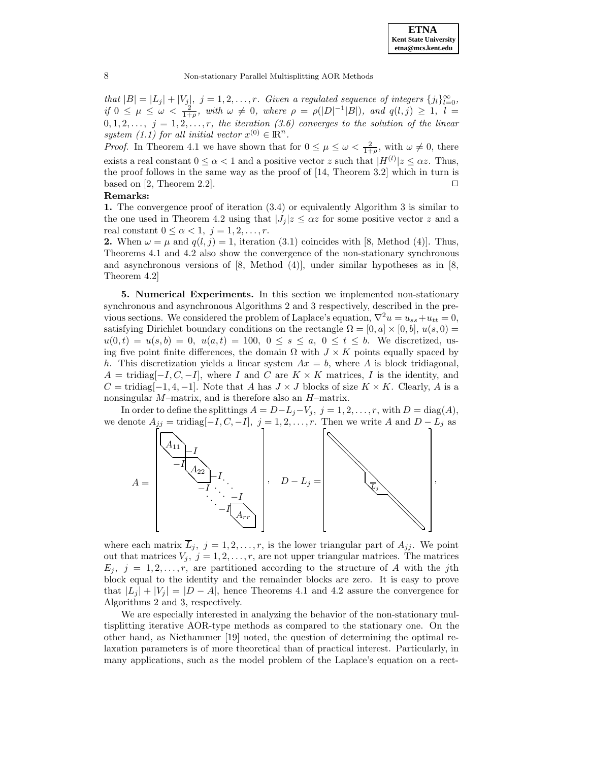that  $|B| = |L_j| + |V_j|$ ,  $j = 1, 2, \ldots, r$ . Given a regulated sequence of integers  $\{j_l\}_{l=0}^{\infty}$ , if  $0 \leq \mu \leq \omega < \frac{2}{1+\rho}$ , with  $\omega \neq 0$ , where  $\rho = \rho(|D|^{-1}|B|)$ , and  $q(l,j) \geq 1$ ,  $l =$  $0, 1, 2, \ldots, j = 1, 2, \ldots, r$ , the iteration (3.6) converges to the solution of the linear system (1.1) for all initial vector  $x^{(0)} \in \mathbb{R}^n$ .

*Proof.* In Theorem 4.1 we have shown that for  $0 \leq \mu \leq \omega < \frac{2}{1+\rho}$ , with  $\omega \neq 0$ , there exists a real constant  $0 \leq \alpha < 1$  and a positive vector z such that  $|H^{(l)}|z \leq \alpha z$ . Thus, the proof follows in the same way as the proof of [14, Theorem 3.2] which in turn is based on [2, Theorem 2.2].

## **Remarks:**

**1.** The convergence proof of iteration (3.4) or equivalently Algorithm 3 is similar to the one used in Theorem 4.2 using that  $|J_i|z \leq \alpha z$  for some positive vector z and a real constant  $0 \leq \alpha < 1, j = 1, 2, \ldots, r$ .

**2.** When  $\omega = \mu$  and  $q(l, j) = 1$ , iteration (3.1) coincides with [8, Method (4)]. Thus, Theorems 4.1 and 4.2 also show the convergence of the non-stationary synchronous and asynchronous versions of [8, Method (4)], under similar hypotheses as in [8, Theorem 4.2]

**5. Numerical Experiments.** In this section we implemented non-stationary synchronous and asynchronous Algorithms 2 and 3 respectively, described in the previous sections. We considered the problem of Laplace's equation,  $\nabla^2 u = u_{ss} + u_{tt} = 0$ , satisfying Dirichlet boundary conditions on the rectangle  $\Omega = [0, a] \times [0, b]$ ,  $u(s, 0) =$  $u(0,t) = u(s,b) = 0, u(a,t) = 100, 0 \le s \le a, 0 \le t \le b$ . We discretized, using five point finite differences, the domain  $\Omega$  with  $J \times K$  points equally spaced by h. This discretization yields a linear system  $Ax = b$ , where A is block tridiagonal,  $A = \text{tridiag}[-I, C, -I],$  where I and C are  $K \times K$  matrices, I is the identity, and  $C = \text{tridiag}[-1, 4, -1]$ . Note that A has  $J \times J$  blocks of size  $K \times K$ . Clearly, A is a nonsingular M–matrix, and is therefore also an H–matrix.

In order to define the splittings  $A = D - L_j - V_j$ ,  $j = 1, 2, ..., r$ , with  $D = \text{diag}(A)$ , we denote  $A_{jj}$  = tridiag[-I, C, -I], j = 1, 2, ..., r. Then we write A and  $D - L_i$  as



where each matrix  $\overline{L}_i$ ,  $j = 1, 2, \ldots, r$ , is the lower triangular part of  $A_{ij}$ . We point out that matrices  $V_j$ ,  $j = 1, 2, \ldots, r$ , are not upper triangular matrices. The matrices  $E_j$ ,  $j = 1, 2, \ldots, r$ , are partitioned according to the structure of A with the jth block equal to the identity and the remainder blocks are zero. It is easy to prove that  $|L_j| + |V_j| = |D - A|$ , hence Theorems 4.1 and 4.2 assure the convergence for Algorithms 2 and 3, respectively.

We are especially interested in analyzing the behavior of the non-stationary multisplitting iterative AOR-type methods as compared to the stationary one. On the other hand, as Niethammer [19] noted, the question of determining the optimal relaxation parameters is of more theoretical than of practical interest. Particularly, in many applications, such as the model problem of the Laplace's equation on a rect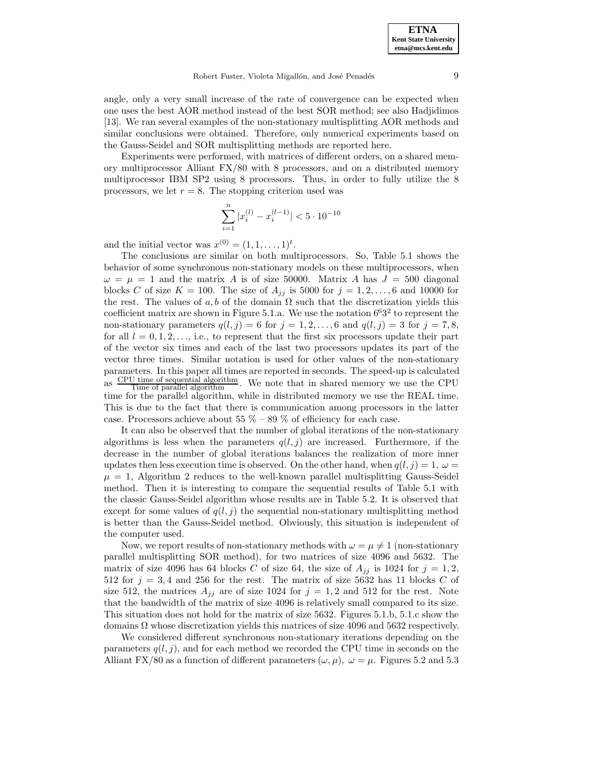angle, only a very small increase of the rate of convergence can be expected when one uses the best AOR method instead of the best SOR method; see also Hadjidimos [13]. We ran several examples of the non-stationary multisplitting AOR methods and similar conclusions were obtained. Therefore, only numerical experiments based on the Gauss-Seidel and SOR multisplitting methods are reported here.

Experiments were performed, with matrices of different orders, on a shared memory multiprocessor Alliant FX/80 with 8 processors, and on a distributed memory multiprocessor IBM SP2 using 8 processors. Thus, in order to fully utilize the 8 processors, we let  $r = 8$ . The stopping criterion used was

$$
\sum_{i=1}^n |x_i^{(l)}-x_i^{(l-1)}|<5\cdot 10^{-10}
$$

and the initial vector was  $x^{(0)} = (1, 1, \ldots, 1)^t$ .

The conclusions are similar on both multiprocessors. So, Table 5.1 shows the behavior of some synchronous non-stationary models on these multiprocessors, when  $\omega = \mu = 1$  and the matrix A is of size 50000. Matrix A has  $J = 500$  diagonal blocks C of size  $K = 100$ . The size of  $A_{ij}$  is 5000 for  $j = 1, 2, \ldots, 6$  and 10000 for the rest. The values of a, b of the domain  $\Omega$  such that the discretization yields this coefficient matrix are shown in Figure 5.1.a. We use the notation  $6^63^2$  to represent the non-stationary parameters  $q(l, j) = 6$  for  $j = 1, 2, \ldots, 6$  and  $q(l, j) = 3$  for  $j = 7, 8$ , for all  $l = 0, 1, 2, \ldots$ , i.e., to represent that the first six processors update their part of the vector six times and each of the last two processors updates its part of the vector three times. Similar notation is used for other values of the non-stationary parameters. In this paper all times are reported in seconds. The speed-up is calculated as  $\frac{\text{CPU time of sequential algorithm}}{\text{Time of parallel algorithm}}$ . We note that in shared memory we use the CPU  $\frac{ds}{dt}$   $\frac{dS}{dt}$   $\frac{dS}{dt}$   $\frac{dS}{dt}$  algorithm, while in distributed memory we use the REAL time. This is due to the fact that there is communication among processors in the latter case. Processors achieve about 55  $\%$  – 89  $\%$  of efficiency for each case.

It can also be observed that the number of global iterations of the non-stationary algorithms is less when the parameters  $q(l, j)$  are increased. Furthermore, if the decrease in the number of global iterations balances the realization of more inner updates then less execution time is observed. On the other hand, when  $q(l,j)=1, \omega =$  $\mu = 1$ , Algorithm 2 reduces to the well-known parallel multisplitting Gauss-Seidel method. Then it is interesting to compare the sequential results of Table 5.1 with the classic Gauss-Seidel algorithm whose results are in Table 5.2. It is observed that except for some values of  $q(l, j)$  the sequential non-stationary multisplitting method is better than the Gauss-Seidel method. Obviously, this situation is independent of the computer used.

Now, we report results of non-stationary methods with  $\omega = \mu \neq 1$  (non-stationary parallel multisplitting SOR method), for two matrices of size 4096 and 5632. The matrix of size 4096 has 64 blocks C of size 64, the size of  $A_{jj}$  is 1024 for  $j = 1, 2$ , 512 for  $j = 3, 4$  and 256 for the rest. The matrix of size 5632 has 11 blocks C of size 512, the matrices  $A_{jj}$  are of size 1024 for  $j = 1, 2$  and 512 for the rest. Note that the bandwidth of the matrix of size 4096 is relatively small compared to its size. This situation does not hold for the matrix of size 5632. Figures 5.1.b, 5.1.c show the domains  $\Omega$  whose discretization yields this matrices of size 4096 and 5632 respectively.

We considered different synchronous non-stationary iterations depending on the parameters  $q(l, j)$ , and for each method we recorded the CPU time in seconds on the Alliant FX/80 as a function of different parameters  $(\omega, \mu)$ ,  $\omega = \mu$ . Figures 5.2 and 5.3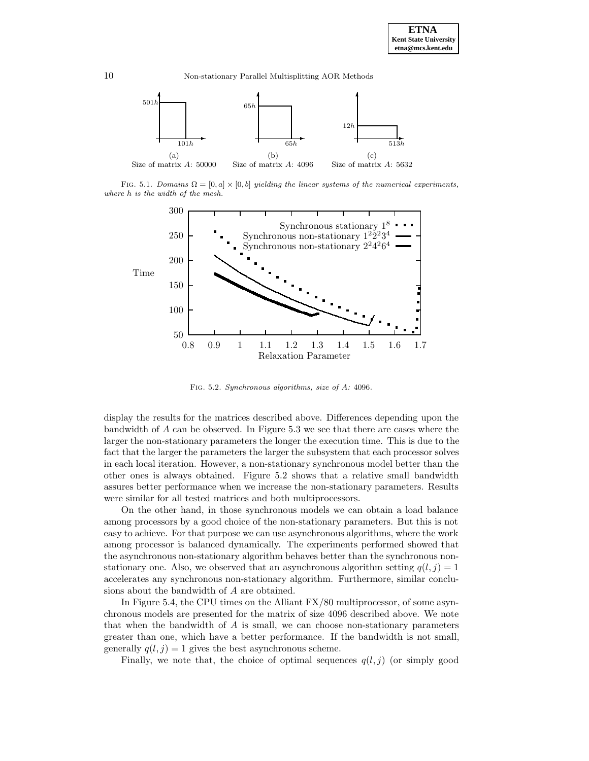

FIG. 5.1. Domains  $\Omega = [0, a] \times [0, b]$  yielding the linear systems of the numerical experiments, where h is the width of the mesh.



Fig. 5.2. Synchronous algorithms, size of A: 4096.

display the results for the matrices described above. Differences depending upon the bandwidth of A can be observed. In Figure 5.3 we see that there are cases where the larger the non-stationary parameters the longer the execution time. This is due to the fact that the larger the parameters the larger the subsystem that each processor solves in each local iteration. However, a non-stationary synchronous model better than the other ones is always obtained. Figure 5.2 shows that a relative small bandwidth assures better performance when we increase the non-stationary parameters. Results were similar for all tested matrices and both multiprocessors.

On the other hand, in those synchronous models we can obtain a load balance among processors by a good choice of the non-stationary parameters. But this is not easy to achieve. For that purpose we can use asynchronous algorithms, where the work among processor is balanced dynamically. The experiments performed showed that the asynchronous non-stationary algorithm behaves better than the synchronous nonstationary one. Also, we observed that an asynchronous algorithm setting  $q(l, j) = 1$ accelerates any synchronous non-stationary algorithm. Furthermore, similar conclusions about the bandwidth of A are obtained.

In Figure 5.4, the CPU times on the Alliant FX/80 multiprocessor, of some asynchronous models are presented for the matrix of size 4096 described above. We note that when the bandwidth of  $A$  is small, we can choose non-stationary parameters greater than one, which have a better performance. If the bandwidth is not small, generally  $q(l, j) = 1$  gives the best asynchronous scheme.

Finally, we note that, the choice of optimal sequences  $q(l,j)$  (or simply good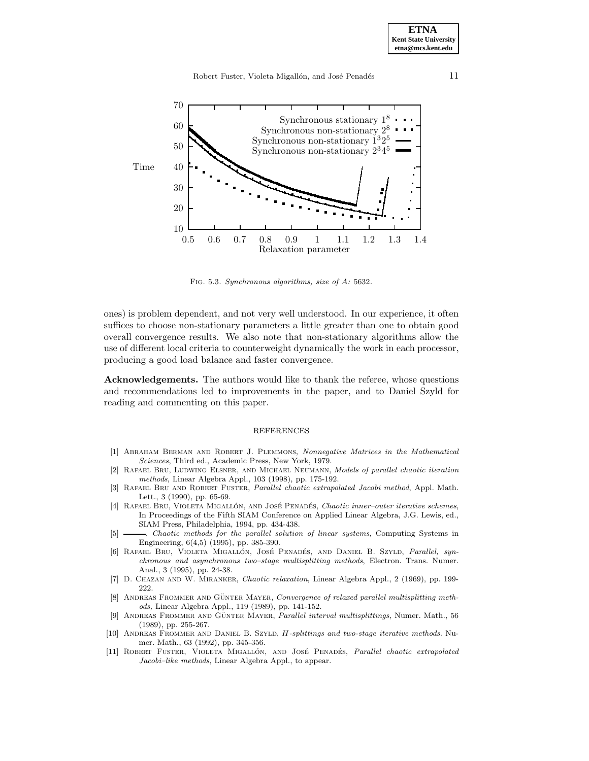

Fig. 5.3. Synchronous algorithms, size of A: 5632.

ones) is problem dependent, and not very well understood. In our experience, it often suffices to choose non-stationary parameters a little greater than one to obtain good overall convergence results. We also note that non-stationary algorithms allow the use of different local criteria to counterweight dynamically the work in each processor, producing a good load balance and faster convergence.

**Acknowledgements.** The authors would like to thank the referee, whose questions and recommendations led to improvements in the paper, and to Daniel Szyld for reading and commenting on this paper.

## REFERENCES

- [1] Abraham Berman and Robert J. Plemmons, Nonnegative Matrices in the Mathematical Sciences, Third ed., Academic Press, New York, 1979.
- [2] Rafael Bru, Ludwing Elsner, and Michael Neumann, Models of parallel chaotic iteration methods, Linear Algebra Appl., 103 (1998), pp. 175-192.
- [3] RAFAEL BRU AND ROBERT FUSTER, Parallel chaotic extrapolated Jacobi method, Appl. Math. Lett., 3 (1990), pp. 65-69.
- [4] RAFAEL BRU, VIOLETA MIGALLÓN, AND JOSÉ PENADÉS, Chaotic inner-outer iterative schemes, In Proceedings of the Fifth SIAM Conference on Applied Linear Algebra, J.G. Lewis, ed., SIAM Press, Philadelphia, 1994, pp. 434-438.
- [5] , Chaotic methods for the parallel solution of linear systems, Computing Systems in Engineering, 6(4,5) (1995), pp. 385-390.
- [6] RAFAEL BRU, VIOLETA MIGALLÓN, JOSÉ PENADÉS, AND DANIEL B. SZYLD, Parallel, synchronous and asynchronous two–stage multisplitting methods, Electron. Trans. Numer. Anal., 3 (1995), pp. 24-38.
- [7] D. Chazan and W. Miranker, Chaotic relaxation, Linear Algebra Appl., 2 (1969), pp. 199- 222.
- [8] ANDREAS FROMMER AND GÜNTER MAYER, Convergence of relaxed parallel multisplitting methods, Linear Algebra Appl., 119 (1989), pp. 141-152.
- [9] ANDREAS FROMMER AND GÜNTER MAYER, Parallel interval multisplittings, Numer. Math., 56 (1989), pp. 255-267.
- [10] ANDREAS FROMMER AND DANIEL B. SZYLD, H-splittings and two-stage iterative methods. Numer. Math., 63 (1992), pp. 345-356.
- [11] ROBERT FUSTER, VIOLETA MIGALLÓN, AND JOSÉ PENADÉS, Parallel chaotic extrapolated Jacobi–like methods, Linear Algebra Appl., to appear.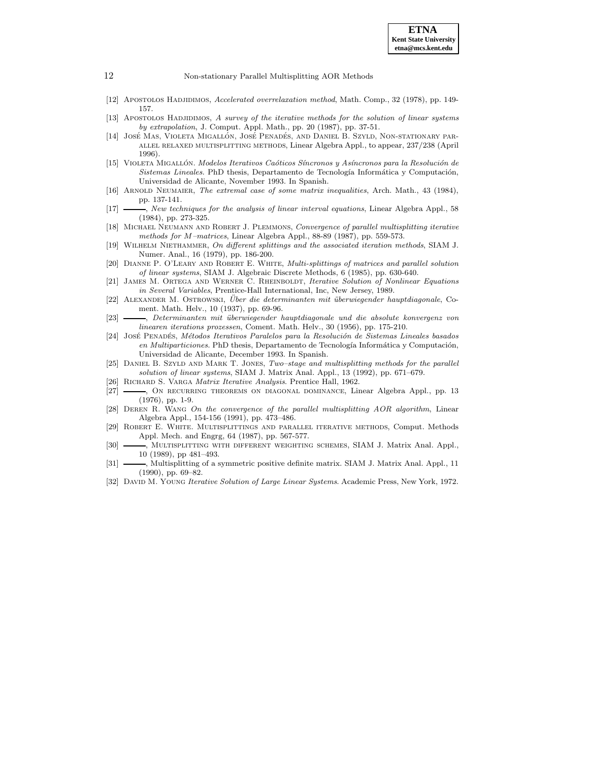

- [12] APOSTOLOS HADJIDIMOS, Accelerated overrelaxation method, Math. Comp., 32 (1978), pp. 149-157.
- [13] APOSTOLOS HADJIDIMOS, A survey of the iterative methods for the solution of linear systems by extrapolation, J. Comput. Appl. Math., pp. 20 (1987), pp. 37-51.
- [14] José Mas, Violeta Migallón, José Penadés, and Daniel B. Szyld, Non-stationary parallel relaxed multisplitting methods, Linear Algebra Appl., to appear, 237/238 (April 1996).
- [15] VIOLETA MIGALLÓN. Modelos Iterativos Caóticos Síncronos y Asíncronos para la Resolución de  $Sistemas$  Lineales. PhD thesis, Departamento de Tecnología Informática y Computación, Universidad de Alicante, November 1993. In Spanish.
- [16] ARNOLD NEUMAIER, The extremal case of some matrix inequalities, Arch. Math., 43 (1984), pp. 137-141.
- [17] , New techniques for the analysis of linear interval equations, Linear Algebra Appl., 58 (1984), pp. 273-325.
- [18] MICHAEL NEUMANN AND ROBERT J. PLEMMONS, Convergence of parallel multisplitting iterative methods for M–matrices, Linear Algebra Appl., 88-89 (1987), pp. 559-573.
- [19] Wilhelm Niethammer, On different splittings and the associated iteration methods, SIAM J. Numer. Anal., 16 (1979), pp. 186-200.
- [20] DIANNE P. O'LEARY AND ROBERT E. WHITE, *Multi-splittings of matrices and parallel solution* of linear systems, SIAM J. Algebraic Discrete Methods, 6 (1985), pp. 630-640.
- [21] James M. Ortega and Werner C. Rheinboldt, Iterative Solution of Nonlinear Equations in Several Variables, Prentice-Hall International, Inc, New Jersey, 1989.
- [22] ALEXANDER M. OSTROWSKI, Über die determinanten mit überwiegender hauptdiagonale, Coment. Math. Helv., 10 (1937), pp. 69-96.
- [23] , Determinanten mit ¨uberwiegender hauptdiagonale und die absolute konvergenz von linearen iterations prozessen, Coment. Math. Helv., 30 (1956), pp. 175-210.
- [24] JOSÉ PENADÉS, Métodos Iterativos Paralelos para la Resolución de Sistemas Lineales basados  $en$  Multiparticiones. PhD thesis, Departamento de Tecnología Informática y Computación, Universidad de Alicante, December 1993. In Spanish.
- [25] DANIEL B. SZYLD AND MARK T. JONES, Two–stage and multisplitting methods for the parallel solution of linear systems, SIAM J. Matrix Anal. Appl., 13 (1992), pp. 671–679.
- [26] RICHARD S. VARGA Matrix Iterative Analysis. Prentice Hall, 1962.
- [27]  $\longrightarrow$ , On recurring theorems on diagonal dominance, Linear Algebra Appl., pp. 13 (1976), pp. 1-9.
- [28] DEREN R. WANG On the convergence of the parallel multisplitting AOR algorithm, Linear Algebra Appl., 154-156 (1991), pp. 473–486.
- [29] Robert E. White. Multisplittings and parallel iterative methods, Comput. Methods Appl. Mech. and Engrg, 64 (1987), pp. 567-577.
- [30]  $\longrightarrow$ , MULTISPLITTING WITH DIFFERENT WEIGHTING SCHEMES, SIAM J. Matrix Anal. Appl., 10 (1989), pp 481–493.
- [31]  $\frac{1}{\sqrt{2}}$ , Multisplitting of a symmetric positive definite matrix. SIAM J. Matrix Anal. Appl., 11 (1990), pp. 69–82.
- [32] DAVID M. YOUNG Iterative Solution of Large Linear Systems. Academic Press, New York, 1972.